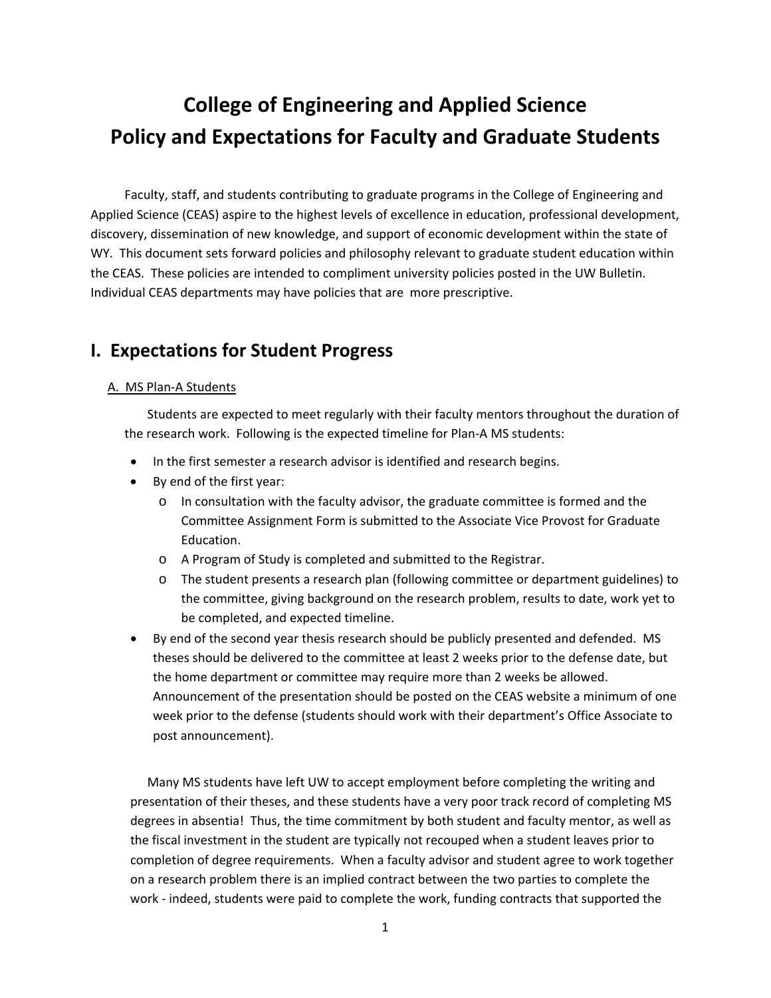# **College of Engineering and Applied Science Policy and Expectations for Faculty and Graduate Students**

Faculty, staff, and students contributing to graduate programs in the College of Engineering and Applied Science (CEAS) aspire to the highest levels of excellence in education, professional development, discovery, dissemination of new knowledge, and support of economic development within the state of WY. This document sets forward policies and philosophy relevant to graduate student education within the CEAS. These policies are intended to compliment university policies posted in the UW Bulletin. Individual CEAS departments may have policies that are more prescriptive.

# **I. Expectations for Student Progress**

#### A. MS Plan‐A Students

Students are expected to meet regularly with their faculty mentors throughout the duration of the research work. Following is the expected timeline for Plan‐A MS students:

- In the first semester a research advisor is identified and research begins.
- By end of the first year:
	- o In consultation with the faculty advisor, the graduate committee is formed and the Committee Assignment Form is submitted to the Associate Vice Provost for Graduate Education.
	- o A Program of Study is completed and submitted to the Registrar.
	- o The student presents a research plan (following committee or department guidelines) to the committee, giving background on the research problem, results to date, work yet to be completed, and expected timeline.
- By end of the second year thesis research should be publicly presented and defended. MS theses should be delivered to the committee at least 2 weeks prior to the defense date, but the home department or committee may require more than 2 weeks be allowed. Announcement of the presentation should be posted on the CEAS website a minimum of one week prior to the defense (students should work with their department's Office Associate to post announcement).

Many MS students have left UW to accept employment before completing the writing and presentation of their theses, and these students have a very poor track record of completing MS degrees in absentia! Thus, the time commitment by both student and faculty mentor, as well as the fiscal investment in the student are typically not recouped when a student leaves prior to completion of degree requirements. When a faculty advisor and student agree to work together on a research problem there is an implied contract between the two parties to complete the work - indeed, students were paid to complete the work, funding contracts that supported the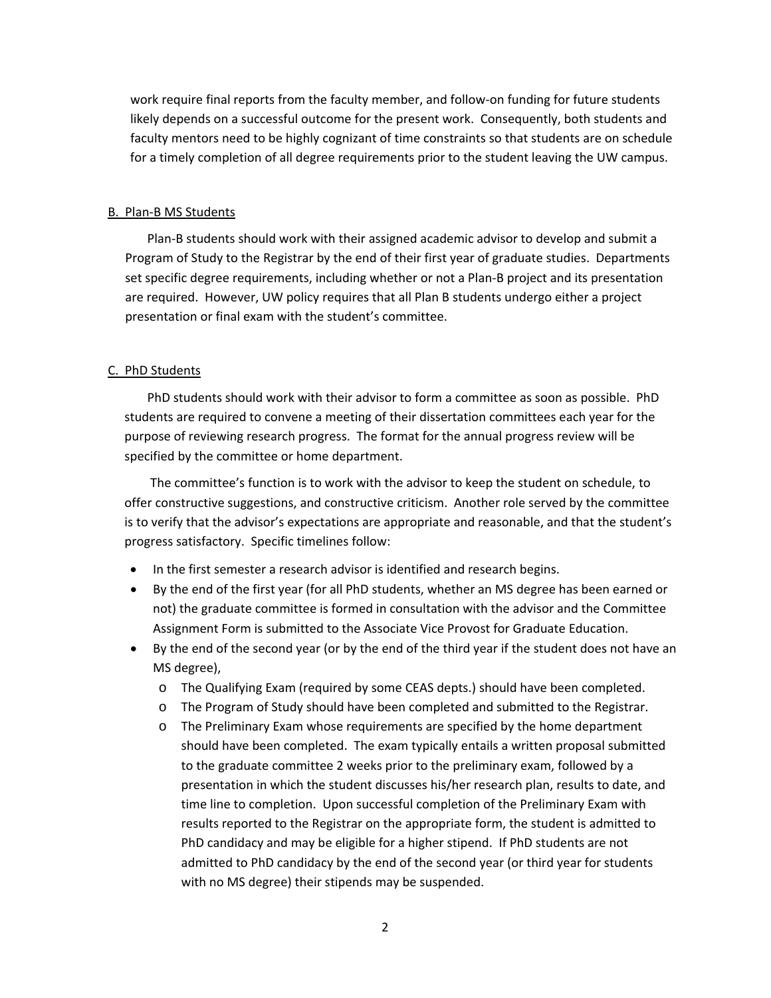work require final reports from the faculty member, and follow-on funding for future students likely depends on a successful outcome for the present work. Consequently, both students and faculty mentors need to be highly cognizant of time constraints so that students are on schedule for a timely completion of all degree requirements prior to the student leaving the UW campus.

#### B. Plan‐B MS Students

Plan‐B students should work with their assigned academic advisor to develop and submit a Program of Study to the Registrar by the end of their first year of graduate studies. Departments set specific degree requirements, including whether or not a Plan‐B project and its presentation are required. However, UW policy requires that all Plan B students undergo either a project presentation or final exam with the student's committee.

#### C. PhD Students

PhD students should work with their advisor to form a committee as soon as possible. PhD students are required to convene a meeting of their dissertation committees each year for the purpose of reviewing research progress. The format for the annual progress review will be specified by the committee or home department.

The committee's function is to work with the advisor to keep the student on schedule, to offer constructive suggestions, and constructive criticism. Another role served by the committee is to verify that the advisor's expectations are appropriate and reasonable, and that the student's progress satisfactory. Specific timelines follow:

- In the first semester a research advisor is identified and research begins.
- By the end of the first year (for all PhD students, whether an MS degree has been earned or not) the graduate committee is formed in consultation with the advisor and the Committee Assignment Form is submitted to the Associate Vice Provost for Graduate Education.
- By the end of the second year (or by the end of the third year if the student does not have an MS degree),
	- o The Qualifying Exam (required by some CEAS depts.) should have been completed.
	- o The Program of Study should have been completed and submitted to the Registrar.
	- o The Preliminary Exam whose requirements are specified by the home department should have been completed. The exam typically entails a written proposal submitted to the graduate committee 2 weeks prior to the preliminary exam, followed by a presentation in which the student discusses his/her research plan, results to date, and time line to completion. Upon successful completion of the Preliminary Exam with results reported to the Registrar on the appropriate form, the student is admitted to PhD candidacy and may be eligible for a higher stipend. If PhD students are not admitted to PhD candidacy by the end of the second year (or third year for students with no MS degree) their stipends may be suspended.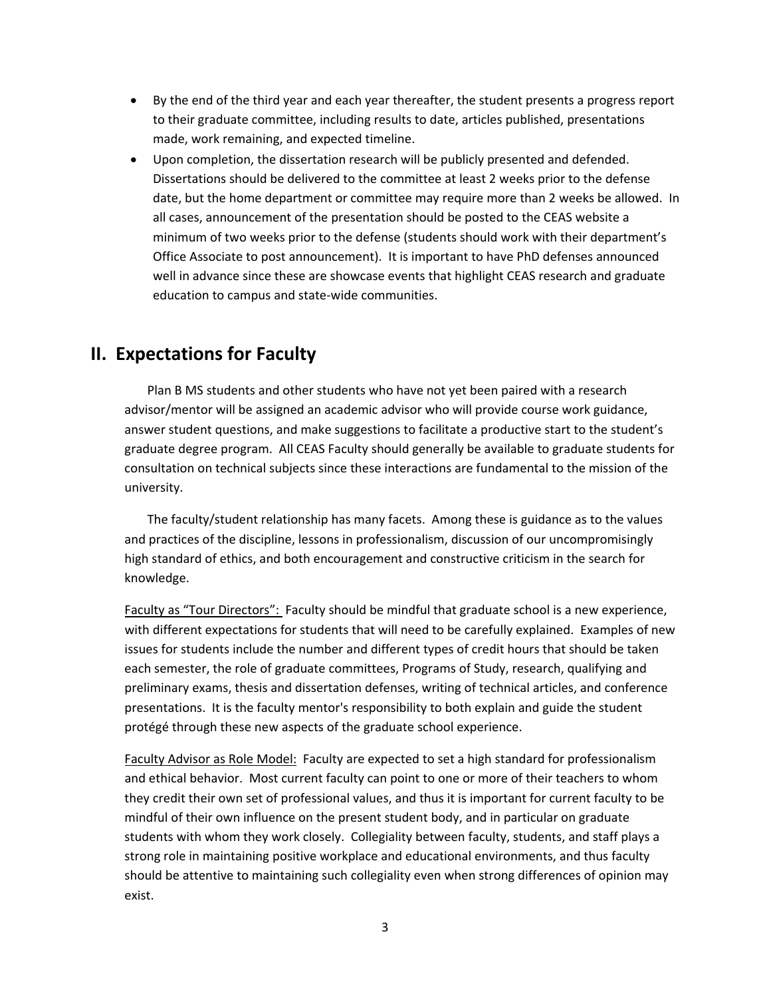- By the end of the third year and each year thereafter, the student presents a progress report to their graduate committee, including results to date, articles published, presentations made, work remaining, and expected timeline.
- Upon completion, the dissertation research will be publicly presented and defended. Dissertations should be delivered to the committee at least 2 weeks prior to the defense date, but the home department or committee may require more than 2 weeks be allowed. In all cases, announcement of the presentation should be posted to the CEAS website a minimum of two weeks prior to the defense (students should work with their department's Office Associate to post announcement). It is important to have PhD defenses announced well in advance since these are showcase events that highlight CEAS research and graduate education to campus and state‐wide communities.

## **II. Expectations for Faculty**

Plan B MS students and other students who have not yet been paired with a research advisor/mentor will be assigned an academic advisor who will provide course work guidance, answer student questions, and make suggestions to facilitate a productive start to the student's graduate degree program. All CEAS Faculty should generally be available to graduate students for consultation on technical subjects since these interactions are fundamental to the mission of the university.

The faculty/student relationship has many facets. Among these is guidance as to the values and practices of the discipline, lessons in professionalism, discussion of our uncompromisingly high standard of ethics, and both encouragement and constructive criticism in the search for knowledge.

Faculty as "Tour Directors": Faculty should be mindful that graduate school is a new experience, with different expectations for students that will need to be carefully explained. Examples of new issues for students include the number and different types of credit hours that should be taken each semester, the role of graduate committees, Programs of Study, research, qualifying and preliminary exams, thesis and dissertation defenses, writing of technical articles, and conference presentations. It is the faculty mentor's responsibility to both explain and guide the student protégé through these new aspects of the graduate school experience.

Faculty Advisor as Role Model: Faculty are expected to set a high standard for professionalism and ethical behavior. Most current faculty can point to one or more of their teachers to whom they credit their own set of professional values, and thus it is important for current faculty to be mindful of their own influence on the present student body, and in particular on graduate students with whom they work closely. Collegiality between faculty, students, and staff plays a strong role in maintaining positive workplace and educational environments, and thus faculty should be attentive to maintaining such collegiality even when strong differences of opinion may exist.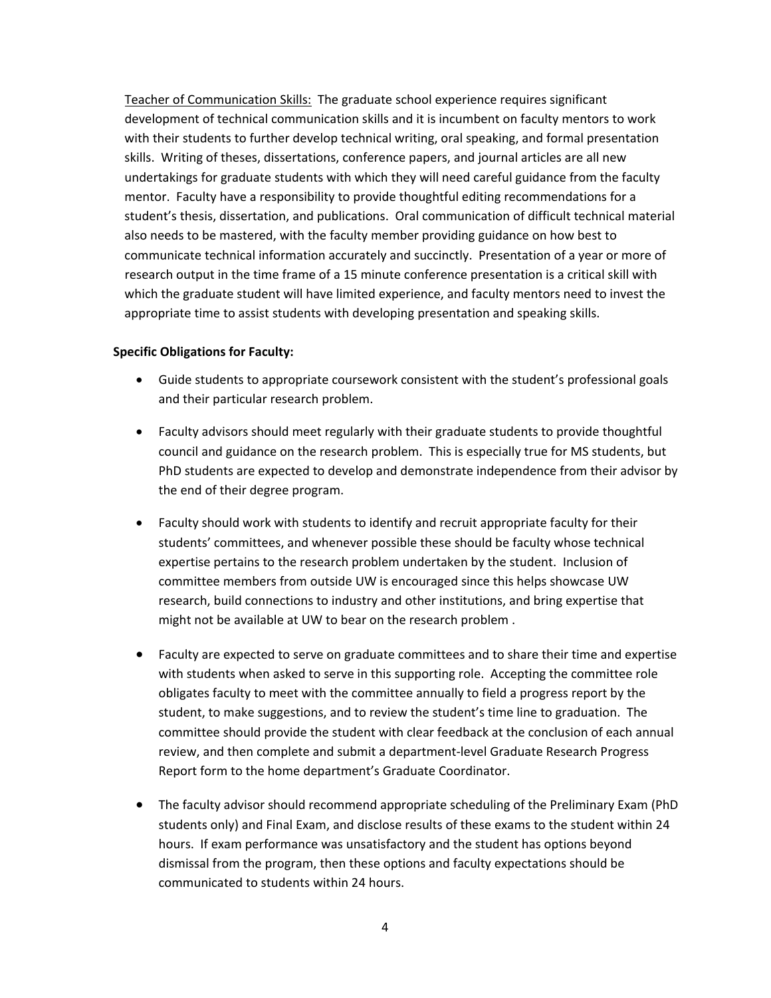Teacher of Communication Skills: The graduate school experience requires significant development of technical communication skills and it is incumbent on faculty mentors to work with their students to further develop technical writing, oral speaking, and formal presentation skills. Writing of theses, dissertations, conference papers, and journal articles are all new undertakings for graduate students with which they will need careful guidance from the faculty mentor. Faculty have a responsibility to provide thoughtful editing recommendations for a student's thesis, dissertation, and publications. Oral communication of difficult technical material also needs to be mastered, with the faculty member providing guidance on how best to communicate technical information accurately and succinctly. Presentation of a year or more of research output in the time frame of a 15 minute conference presentation is a critical skill with which the graduate student will have limited experience, and faculty mentors need to invest the appropriate time to assist students with developing presentation and speaking skills.

#### **Specific Obligations for Faculty:**

- Guide students to appropriate coursework consistent with the student's professional goals and their particular research problem.
- Faculty advisors should meet regularly with their graduate students to provide thoughtful council and guidance on the research problem. This is especially true for MS students, but PhD students are expected to develop and demonstrate independence from their advisor by the end of their degree program.
- Faculty should work with students to identify and recruit appropriate faculty for their students' committees, and whenever possible these should be faculty whose technical expertise pertains to the research problem undertaken by the student. Inclusion of committee members from outside UW is encouraged since this helps showcase UW research, build connections to industry and other institutions, and bring expertise that might not be available at UW to bear on the research problem .
- Faculty are expected to serve on graduate committees and to share their time and expertise with students when asked to serve in this supporting role. Accepting the committee role obligates faculty to meet with the committee annually to field a progress report by the student, to make suggestions, and to review the student's time line to graduation. The committee should provide the student with clear feedback at the conclusion of each annual review, and then complete and submit a department‐level Graduate Research Progress Report form to the home department's Graduate Coordinator.
- The faculty advisor should recommend appropriate scheduling of the Preliminary Exam (PhD students only) and Final Exam, and disclose results of these exams to the student within 24 hours. If exam performance was unsatisfactory and the student has options beyond dismissal from the program, then these options and faculty expectations should be communicated to students within 24 hours.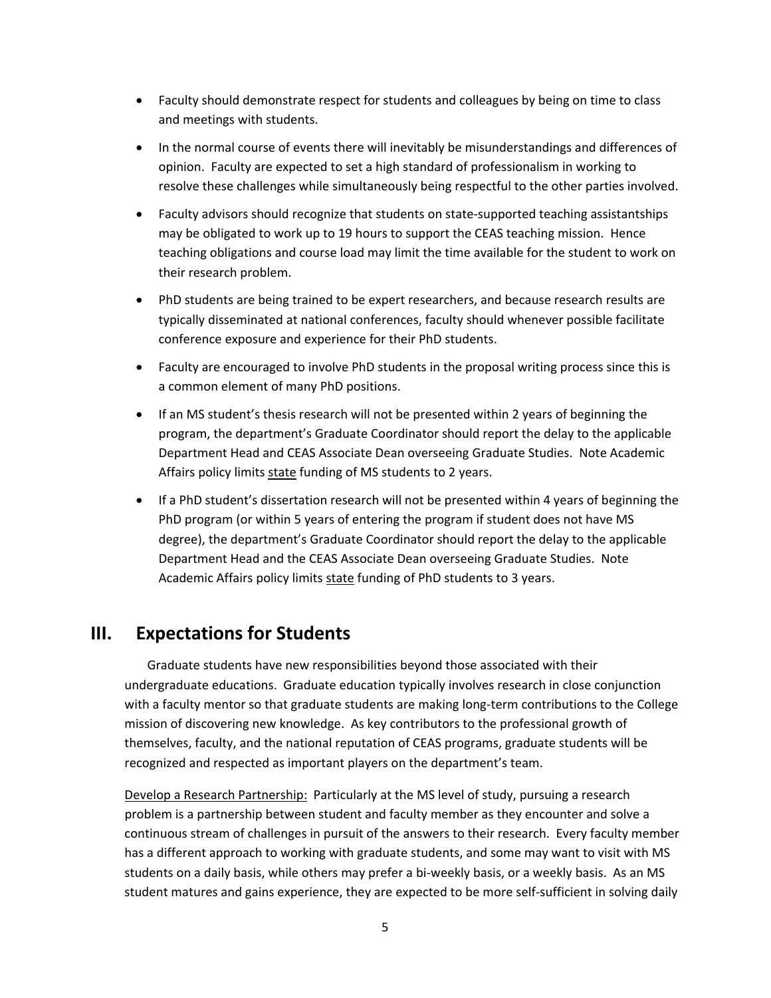- Faculty should demonstrate respect for students and colleagues by being on time to class and meetings with students.
- In the normal course of events there will inevitably be misunderstandings and differences of opinion. Faculty are expected to set a high standard of professionalism in working to resolve these challenges while simultaneously being respectful to the other parties involved.
- Faculty advisors should recognize that students on state‐supported teaching assistantships may be obligated to work up to 19 hours to support the CEAS teaching mission. Hence teaching obligations and course load may limit the time available for the student to work on their research problem.
- PhD students are being trained to be expert researchers, and because research results are typically disseminated at national conferences, faculty should whenever possible facilitate conference exposure and experience for their PhD students.
- Faculty are encouraged to involve PhD students in the proposal writing process since this is a common element of many PhD positions.
- If an MS student's thesis research will not be presented within 2 years of beginning the program, the department's Graduate Coordinator should report the delay to the applicable Department Head and CEAS Associate Dean overseeing Graduate Studies. Note Academic Affairs policy limits state funding of MS students to 2 years.
- If a PhD student's dissertation research will not be presented within 4 years of beginning the PhD program (or within 5 years of entering the program if student does not have MS degree), the department's Graduate Coordinator should report the delay to the applicable Department Head and the CEAS Associate Dean overseeing Graduate Studies. Note Academic Affairs policy limits state funding of PhD students to 3 years.

## **III. Expectations for Students**

Graduate students have new responsibilities beyond those associated with their undergraduate educations. Graduate education typically involves research in close conjunction with a faculty mentor so that graduate students are making long-term contributions to the College mission of discovering new knowledge. As key contributors to the professional growth of themselves, faculty, and the national reputation of CEAS programs, graduate students will be recognized and respected as important players on the department's team.

Develop a Research Partnership: Particularly at the MS level of study, pursuing a research problem is a partnership between student and faculty member as they encounter and solve a continuous stream of challenges in pursuit of the answers to their research. Every faculty member has a different approach to working with graduate students, and some may want to visit with MS students on a daily basis, while others may prefer a bi-weekly basis, or a weekly basis. As an MS student matures and gains experience, they are expected to be more self‐sufficient in solving daily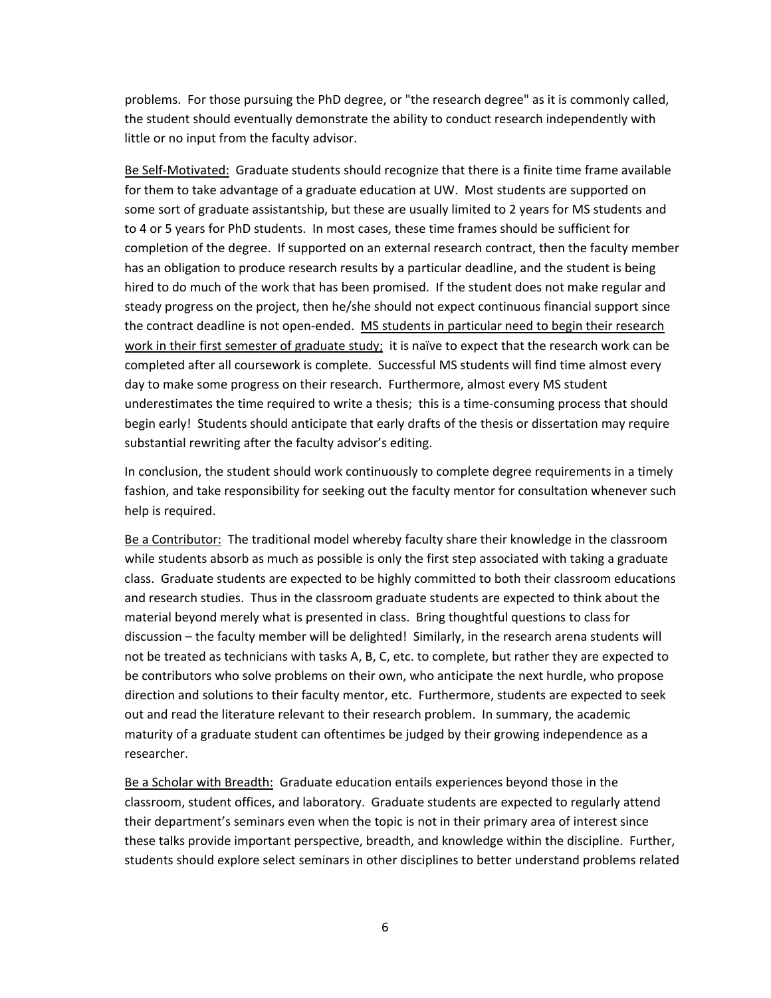problems. For those pursuing the PhD degree, or "the research degree" as it is commonly called, the student should eventually demonstrate the ability to conduct research independently with little or no input from the faculty advisor.

Be Self-Motivated: Graduate students should recognize that there is a finite time frame available for them to take advantage of a graduate education at UW. Most students are supported on some sort of graduate assistantship, but these are usually limited to 2 years for MS students and to 4 or 5 years for PhD students. In most cases, these time frames should be sufficient for completion of the degree. If supported on an external research contract, then the faculty member has an obligation to produce research results by a particular deadline, and the student is being hired to do much of the work that has been promised. If the student does not make regular and steady progress on the project, then he/she should not expect continuous financial support since the contract deadline is not open-ended. MS students in particular need to begin their research work in their first semester of graduate study; it is naïve to expect that the research work can be completed after all coursework is complete. Successful MS students will find time almost every day to make some progress on their research. Furthermore, almost every MS student underestimates the time required to write a thesis; this is a time-consuming process that should begin early! Students should anticipate that early drafts of the thesis or dissertation may require substantial rewriting after the faculty advisor's editing.

In conclusion, the student should work continuously to complete degree requirements in a timely fashion, and take responsibility for seeking out the faculty mentor for consultation whenever such help is required.

Be a Contributor: The traditional model whereby faculty share their knowledge in the classroom while students absorb as much as possible is only the first step associated with taking a graduate class. Graduate students are expected to be highly committed to both their classroom educations and research studies. Thus in the classroom graduate students are expected to think about the material beyond merely what is presented in class. Bring thoughtful questions to class for discussion – the faculty member will be delighted! Similarly, in the research arena students will not be treated as technicians with tasks A, B, C, etc. to complete, but rather they are expected to be contributors who solve problems on their own, who anticipate the next hurdle, who propose direction and solutions to their faculty mentor, etc. Furthermore, students are expected to seek out and read the literature relevant to their research problem. In summary, the academic maturity of a graduate student can oftentimes be judged by their growing independence as a researcher.

Be a Scholar with Breadth: Graduate education entails experiences beyond those in the classroom, student offices, and laboratory. Graduate students are expected to regularly attend their department's seminars even when the topic is not in their primary area of interest since these talks provide important perspective, breadth, and knowledge within the discipline. Further, students should explore select seminars in other disciplines to better understand problems related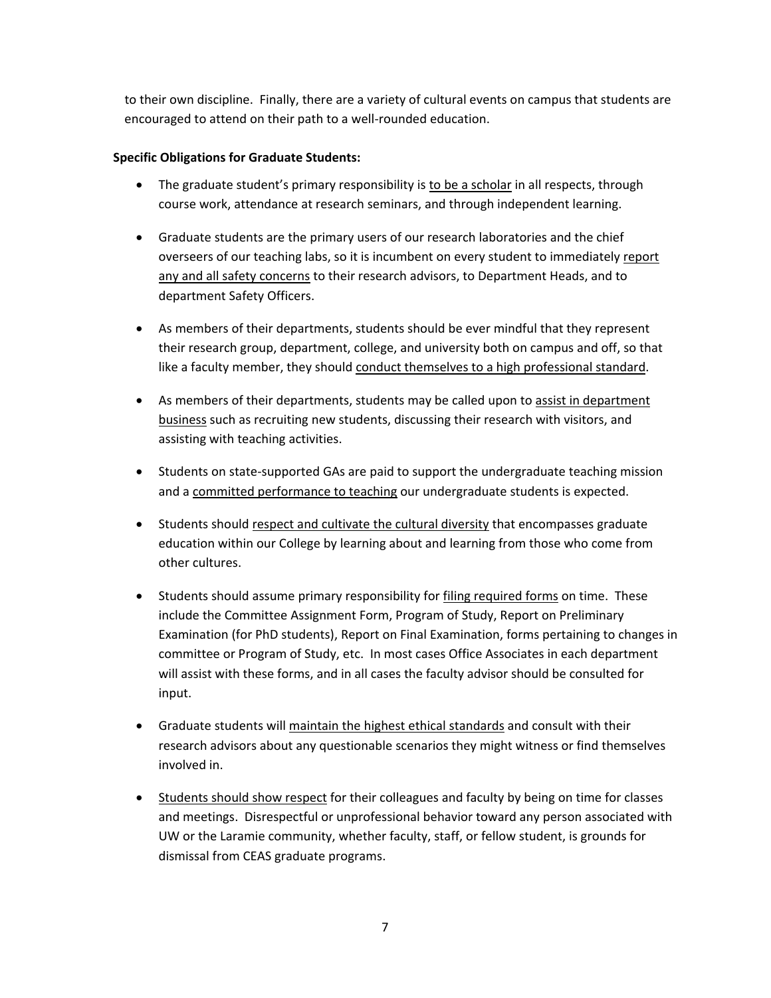to their own discipline. Finally, there are a variety of cultural events on campus that students are encouraged to attend on their path to a well‐rounded education.

### **Specific Obligations for Graduate Students:**

- The graduate student's primary responsibility is to be a scholar in all respects, through course work, attendance at research seminars, and through independent learning.
- Graduate students are the primary users of our research laboratories and the chief overseers of our teaching labs, so it is incumbent on every student to immediately report any and all safety concerns to their research advisors, to Department Heads, and to department Safety Officers.
- As members of their departments, students should be ever mindful that they represent their research group, department, college, and university both on campus and off, so that like a faculty member, they should conduct themselves to a high professional standard.
- As members of their departments, students may be called upon to assist in department business such as recruiting new students, discussing their research with visitors, and assisting with teaching activities.
- Students on state-supported GAs are paid to support the undergraduate teaching mission and a committed performance to teaching our undergraduate students is expected.
- Students should respect and cultivate the cultural diversity that encompasses graduate education within our College by learning about and learning from those who come from other cultures.
- Students should assume primary responsibility for filing required forms on time. These include the Committee Assignment Form, Program of Study, Report on Preliminary Examination (for PhD students), Report on Final Examination, forms pertaining to changes in committee or Program of Study, etc. In most cases Office Associates in each department will assist with these forms, and in all cases the faculty advisor should be consulted for input.
- Graduate students will maintain the highest ethical standards and consult with their research advisors about any questionable scenarios they might witness or find themselves involved in.
- Students should show respect for their colleagues and faculty by being on time for classes and meetings. Disrespectful or unprofessional behavior toward any person associated with UW or the Laramie community, whether faculty, staff, or fellow student, is grounds for dismissal from CEAS graduate programs.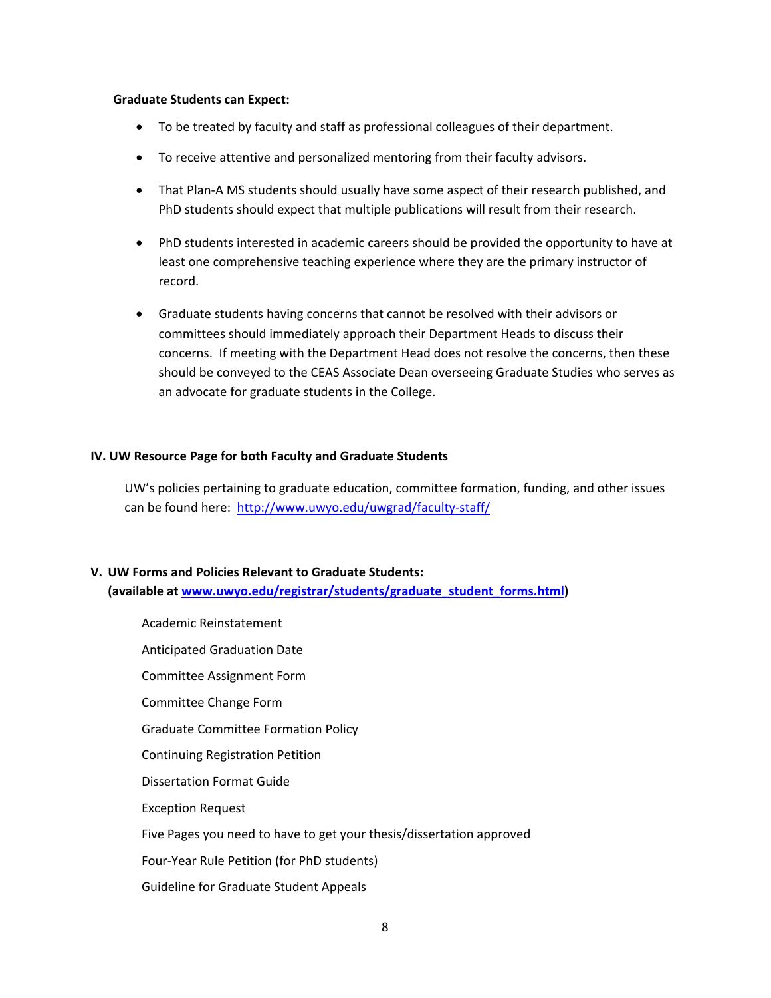#### **Graduate Students can Expect:**

- To be treated by faculty and staff as professional colleagues of their department.
- To receive attentive and personalized mentoring from their faculty advisors.
- That Plan-A MS students should usually have some aspect of their research published, and PhD students should expect that multiple publications will result from their research.
- PhD students interested in academic careers should be provided the opportunity to have at least one comprehensive teaching experience where they are the primary instructor of record.
- Graduate students having concerns that cannot be resolved with their advisors or committees should immediately approach their Department Heads to discuss their concerns. If meeting with the Department Head does not resolve the concerns, then these should be conveyed to the CEAS Associate Dean overseeing Graduate Studies who serves as an advocate for graduate students in the College.

#### **IV. UW Resource Page for both Faculty and Graduate Students**

UW's policies pertaining to graduate education, committee formation, funding, and other issues can be found here: http://www.uwyo.edu/uwgrad/faculty‐staff/

### **V. UW Forms and Policies Relevant to Graduate Students: (available at www.uwyo.edu/registrar/students/graduate\_student\_forms.html)**

Academic Reinstatement Anticipated Graduation Date Committee Assignment Form Committee Change Form Graduate Committee Formation Policy Continuing Registration Petition Dissertation Format Guide Exception Request Five Pages you need to have to get your thesis/dissertation approved Four‐Year Rule Petition (for PhD students) Guideline for Graduate Student Appeals